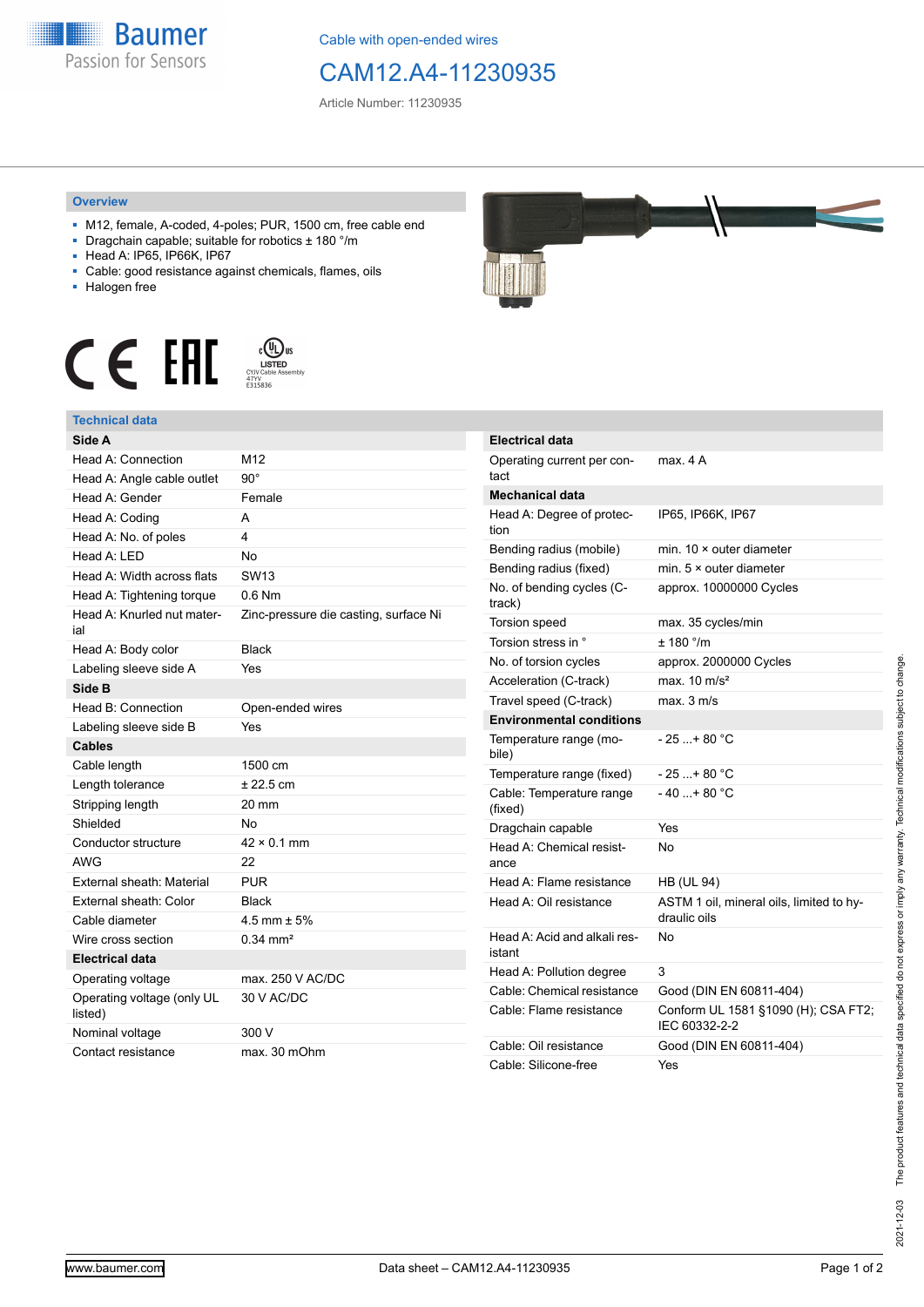

Cable with open-ended wires

## CAM12.A4-11230935

Article Number: 11230935

## **Overview**

- M12, female, A-coded, 4-poles; PUR, 1500 cm, free cable end
- Dragchain capable; suitable for robotics ± 180 °/m
- Head A: IP65, IP66K, IP67
- Cable: good resistance against chemicals, flames, oils
- Halogen free





| Side A                                |                                       |
|---------------------------------------|---------------------------------------|
| Head A: Connection                    | M12                                   |
| Head A: Angle cable outlet            | $90^{\circ}$                          |
| Head A: Gender                        | Female                                |
| Head A: Coding                        | A                                     |
| Head A: No. of poles                  | 4                                     |
| Head A: LED                           | <b>No</b>                             |
| Head A: Width across flats            | <b>SW13</b>                           |
| Head A: Tightening torque             | $0.6$ Nm                              |
| Head A: Knurled nut mater-<br>ial     | Zinc-pressure die casting, surface Ni |
| Head A: Body color                    | <b>Black</b>                          |
| Labeling sleeve side A                | Yes                                   |
| Side B                                |                                       |
| Head B: Connection                    | Open-ended wires                      |
| Labeling sleeve side B                | Yes                                   |
| <b>Cables</b>                         |                                       |
| Cable length                          | 1500 cm                               |
| Length tolerance                      | ± 22.5 cm                             |
| Stripping length                      | 20 mm                                 |
| Shielded                              | No                                    |
| Conductor structure                   | $42 \times 0.1$ mm                    |
| <b>AWG</b>                            | 22                                    |
| External sheath: Material             | <b>PUR</b>                            |
| External sheath: Color                | <b>Black</b>                          |
| Cable diameter                        | 4.5 mm $\pm$ 5%                       |
| Wire cross section                    | $0.34 \, \text{mm}^2$                 |
| <b>Electrical data</b>                |                                       |
| Operating voltage                     | max. 250 V AC/DC                      |
| Operating voltage (only UL<br>listed) | 30 V AC/DC                            |
| Nominal voltage                       | 300 V                                 |
| Contact resistance                    | max. 30 mOhm                          |



| <b>Electrical data</b>                 |                                                          |
|----------------------------------------|----------------------------------------------------------|
| Operating current per con-<br>tact     | max 4 A                                                  |
| <b>Mechanical data</b>                 |                                                          |
| Head A: Degree of protec-<br>tion      | IP65, IP66K, IP67                                        |
| Bending radius (mobile)                | min. $10 \times$ outer diameter                          |
| Bending radius (fixed)                 | min. $5 \times$ outer diameter                           |
| No. of bending cycles (C-<br>track)    | approx. 10000000 Cycles                                  |
| Torsion speed                          | max. 35 cycles/min                                       |
| Torsion stress in °                    | $± 180$ °/m                                              |
| No. of torsion cycles                  | approx. 2000000 Cycles                                   |
| Acceleration (C-track)                 | max. $10 \text{ m/s}^2$                                  |
| Travel speed (C-track)                 | max. 3 m/s                                               |
| <b>Environmental conditions</b>        |                                                          |
| Temperature range (mo-<br>bile)        | - 25 + 80 °C                                             |
| Temperature range (fixed)              | $-25$ + 80 °C                                            |
| Cable: Temperature range<br>(fixed)    | - 40 + 80 °C                                             |
| Dragchain capable                      | Yes                                                      |
| Head A: Chemical resist-<br>ance       | No                                                       |
| Head A: Flame resistance               | <b>HB (UL 94)</b>                                        |
| Head A: Oil resistance                 | ASTM 1 oil, mineral oils, limited to hy-<br>draulic oils |
| Head A: Acid and alkali res-<br>istant | No                                                       |
| Head A: Pollution degree               | 3                                                        |
| Cable: Chemical resistance             | Good (DIN EN 60811-404)                                  |
| Cable: Flame resistance                | Conform UL 1581 §1090 (H); CSA FT2;<br>IEC 60332-2-2     |
| Cable: Oil resistance                  | Good (DIN EN 60811-404)                                  |
| Cable: Silicone-free                   | Yes                                                      |